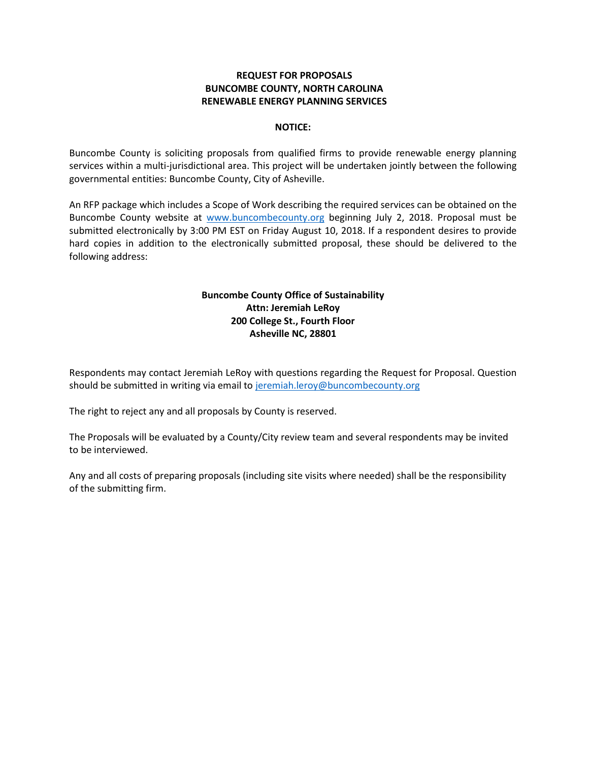## **REQUEST FOR PROPOSALS BUNCOMBE COUNTY, NORTH CAROLINA RENEWABLE ENERGY PLANNING SERVICES**

### **NOTICE:**

Buncombe County is soliciting proposals from qualified firms to provide renewable energy planning services within a multi-jurisdictional area. This project will be undertaken jointly between the following governmental entities: Buncombe County, City of Asheville.

An RFP package which includes a Scope of Work describing the required services can be obtained on the Buncombe County website at [www.buncombecounty.org](http://www.buncombecounty.org/) beginning July 2, 2018. Proposal must be submitted electronically by 3:00 PM EST on Friday August 10, 2018. If a respondent desires to provide hard copies in addition to the electronically submitted proposal, these should be delivered to the following address:

# **Buncombe County Office of Sustainability Attn: Jeremiah LeRoy 200 College St., Fourth Floor Asheville NC, 28801**

Respondents may contact Jeremiah LeRoy with questions regarding the Request for Proposal. Question should be submitted in writing via email to [jeremiah.leroy@buncombecounty.org](mailto:jeremiah.leroy@buncombecounty.org)

The right to reject any and all proposals by County is reserved.

The Proposals will be evaluated by a County/City review team and several respondents may be invited to be interviewed.

Any and all costs of preparing proposals (including site visits where needed) shall be the responsibility of the submitting firm.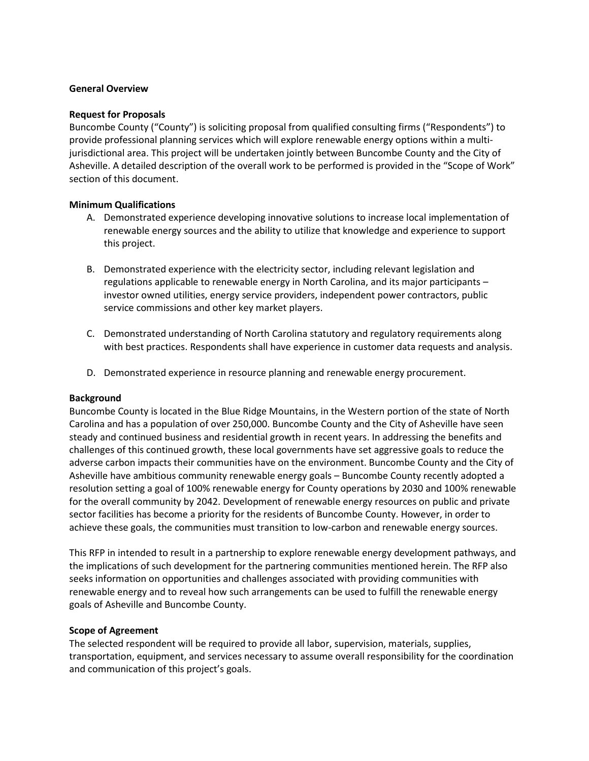#### **General Overview**

#### **Request for Proposals**

Buncombe County ("County") is soliciting proposal from qualified consulting firms ("Respondents") to provide professional planning services which will explore renewable energy options within a multijurisdictional area. This project will be undertaken jointly between Buncombe County and the City of Asheville. A detailed description of the overall work to be performed is provided in the "Scope of Work" section of this document.

## **Minimum Qualifications**

- A. Demonstrated experience developing innovative solutions to increase local implementation of renewable energy sources and the ability to utilize that knowledge and experience to support this project.
- B. Demonstrated experience with the electricity sector, including relevant legislation and regulations applicable to renewable energy in North Carolina, and its major participants – investor owned utilities, energy service providers, independent power contractors, public service commissions and other key market players.
- C. Demonstrated understanding of North Carolina statutory and regulatory requirements along with best practices. Respondents shall have experience in customer data requests and analysis.
- D. Demonstrated experience in resource planning and renewable energy procurement.

## **Background**

Buncombe County is located in the Blue Ridge Mountains, in the Western portion of the state of North Carolina and has a population of over 250,000. Buncombe County and the City of Asheville have seen steady and continued business and residential growth in recent years. In addressing the benefits and challenges of this continued growth, these local governments have set aggressive goals to reduce the adverse carbon impacts their communities have on the environment. Buncombe County and the City of Asheville have ambitious community renewable energy goals – Buncombe County recently adopted a resolution setting a goal of 100% renewable energy for County operations by 2030 and 100% renewable for the overall community by 2042. Development of renewable energy resources on public and private sector facilities has become a priority for the residents of Buncombe County. However, in order to achieve these goals, the communities must transition to low-carbon and renewable energy sources.

This RFP in intended to result in a partnership to explore renewable energy development pathways, and the implications of such development for the partnering communities mentioned herein. The RFP also seeks information on opportunities and challenges associated with providing communities with renewable energy and to reveal how such arrangements can be used to fulfill the renewable energy goals of Asheville and Buncombe County.

#### **Scope of Agreement**

The selected respondent will be required to provide all labor, supervision, materials, supplies, transportation, equipment, and services necessary to assume overall responsibility for the coordination and communication of this project's goals.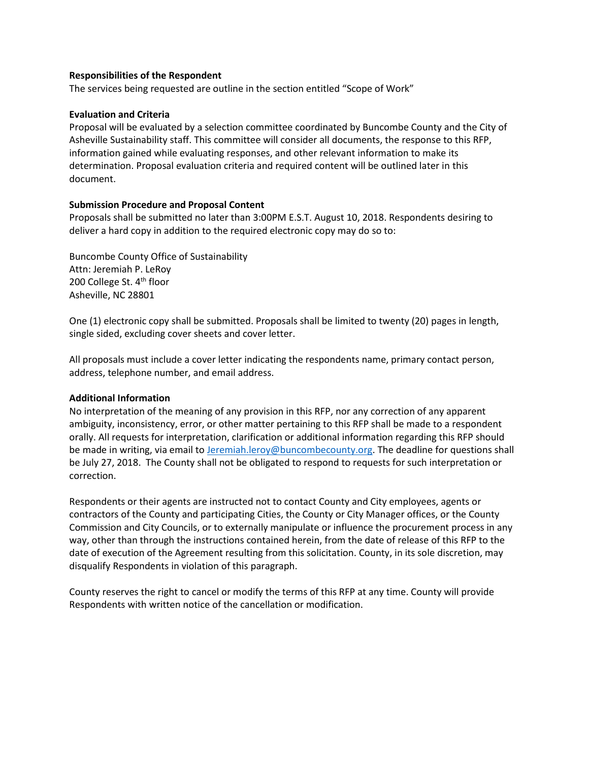### **Responsibilities of the Respondent**

The services being requested are outline in the section entitled "Scope of Work"

#### **Evaluation and Criteria**

Proposal will be evaluated by a selection committee coordinated by Buncombe County and the City of Asheville Sustainability staff. This committee will consider all documents, the response to this RFP, information gained while evaluating responses, and other relevant information to make its determination. Proposal evaluation criteria and required content will be outlined later in this document.

## **Submission Procedure and Proposal Content**

Proposals shall be submitted no later than 3:00PM E.S.T. August 10, 2018. Respondents desiring to deliver a hard copy in addition to the required electronic copy may do so to:

Buncombe County Office of Sustainability Attn: Jeremiah P. LeRoy 200 College St. 4<sup>th</sup> floor Asheville, NC 28801

One (1) electronic copy shall be submitted. Proposals shall be limited to twenty (20) pages in length, single sided, excluding cover sheets and cover letter.

All proposals must include a cover letter indicating the respondents name, primary contact person, address, telephone number, and email address.

## **Additional Information**

No interpretation of the meaning of any provision in this RFP, nor any correction of any apparent ambiguity, inconsistency, error, or other matter pertaining to this RFP shall be made to a respondent orally. All requests for interpretation, clarification or additional information regarding this RFP should be made in writing, via email to [Jeremiah.leroy@buncombecounty.org.](mailto:Jeremiah.leroy@buncombecounty.org) The deadline for questions shall be July 27, 2018. The County shall not be obligated to respond to requests for such interpretation or correction.

Respondents or their agents are instructed not to contact County and City employees, agents or contractors of the County and participating Cities, the County or City Manager offices, or the County Commission and City Councils, or to externally manipulate or influence the procurement process in any way, other than through the instructions contained herein, from the date of release of this RFP to the date of execution of the Agreement resulting from this solicitation. County, in its sole discretion, may disqualify Respondents in violation of this paragraph.

County reserves the right to cancel or modify the terms of this RFP at any time. County will provide Respondents with written notice of the cancellation or modification.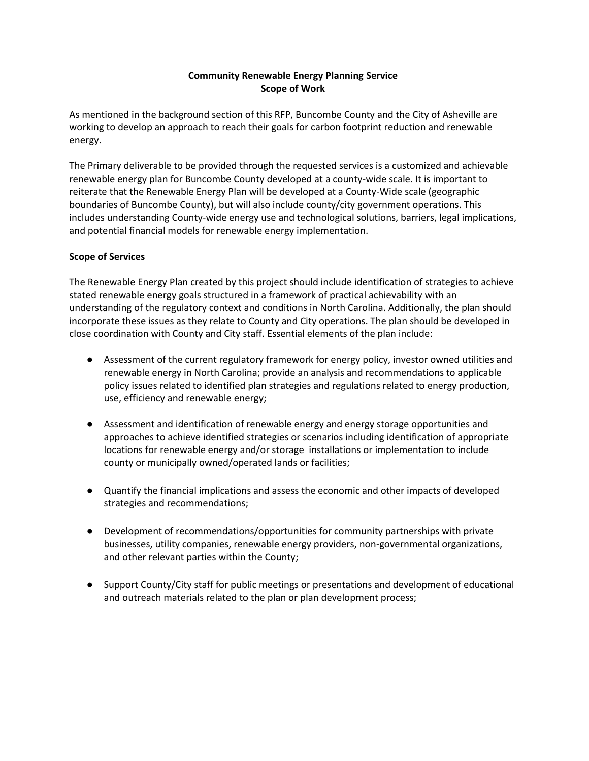## **Community Renewable Energy Planning Service Scope of Work**

As mentioned in the background section of this RFP, Buncombe County and the City of Asheville are working to develop an approach to reach their goals for carbon footprint reduction and renewable energy.

The Primary deliverable to be provided through the requested services is a customized and achievable renewable energy plan for Buncombe County developed at a county-wide scale. It is important to reiterate that the Renewable Energy Plan will be developed at a County-Wide scale (geographic boundaries of Buncombe County), but will also include county/city government operations. This includes understanding County-wide energy use and technological solutions, barriers, legal implications, and potential financial models for renewable energy implementation.

## **Scope of Services**

The Renewable Energy Plan created by this project should include identification of strategies to achieve stated renewable energy goals structured in a framework of practical achievability with an understanding of the regulatory context and conditions in North Carolina. Additionally, the plan should incorporate these issues as they relate to County and City operations. The plan should be developed in close coordination with County and City staff. Essential elements of the plan include:

- Assessment of the current regulatory framework for energy policy, investor owned utilities and renewable energy in North Carolina; provide an analysis and recommendations to applicable policy issues related to identified plan strategies and regulations related to energy production, use, efficiency and renewable energy;
- Assessment and identification of renewable energy and energy storage opportunities and approaches to achieve identified strategies or scenarios including identification of appropriate locations for renewable energy and/or storage installations or implementation to include county or municipally owned/operated lands or facilities;
- Quantify the financial implications and assess the economic and other impacts of developed strategies and recommendations;
- Development of recommendations/opportunities for community partnerships with private businesses, utility companies, renewable energy providers, non-governmental organizations, and other relevant parties within the County;
- Support County/City staff for public meetings or presentations and development of educational and outreach materials related to the plan or plan development process;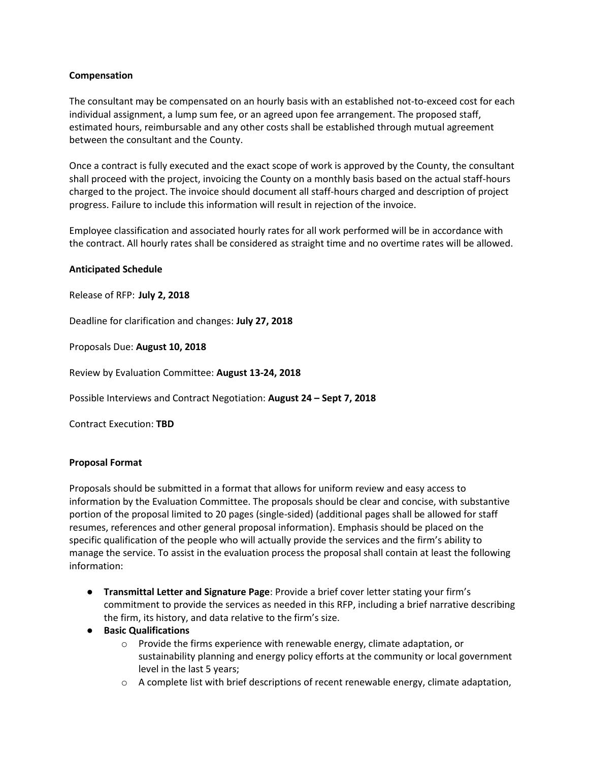## **Compensation**

The consultant may be compensated on an hourly basis with an established not-to-exceed cost for each individual assignment, a lump sum fee, or an agreed upon fee arrangement. The proposed staff, estimated hours, reimbursable and any other costs shall be established through mutual agreement between the consultant and the County.

Once a contract is fully executed and the exact scope of work is approved by the County, the consultant shall proceed with the project, invoicing the County on a monthly basis based on the actual staff-hours charged to the project. The invoice should document all staff-hours charged and description of project progress. Failure to include this information will result in rejection of the invoice.

Employee classification and associated hourly rates for all work performed will be in accordance with the contract. All hourly rates shall be considered as straight time and no overtime rates will be allowed.

### **Anticipated Schedule**

Release of RFP: **July 2, 2018**

Deadline for clarification and changes: **July 27, 2018**

Proposals Due: **August 10, 2018**

Review by Evaluation Committee: **August 13-24, 2018**

Possible Interviews and Contract Negotiation: **August 24 – Sept 7, 2018**

Contract Execution: **TBD**

#### **Proposal Format**

Proposals should be submitted in a format that allows for uniform review and easy access to information by the Evaluation Committee. The proposals should be clear and concise, with substantive portion of the proposal limited to 20 pages (single-sided) (additional pages shall be allowed for staff resumes, references and other general proposal information). Emphasis should be placed on the specific qualification of the people who will actually provide the services and the firm's ability to manage the service. To assist in the evaluation process the proposal shall contain at least the following information:

- **Transmittal Letter and Signature Page**: Provide a brief cover letter stating your firm's commitment to provide the services as needed in this RFP, including a brief narrative describing the firm, its history, and data relative to the firm's size.
- **Basic Qualifications**
	- $\circ$  Provide the firms experience with renewable energy, climate adaptation, or sustainability planning and energy policy efforts at the community or local government level in the last 5 years;
	- $\circ$  A complete list with brief descriptions of recent renewable energy, climate adaptation,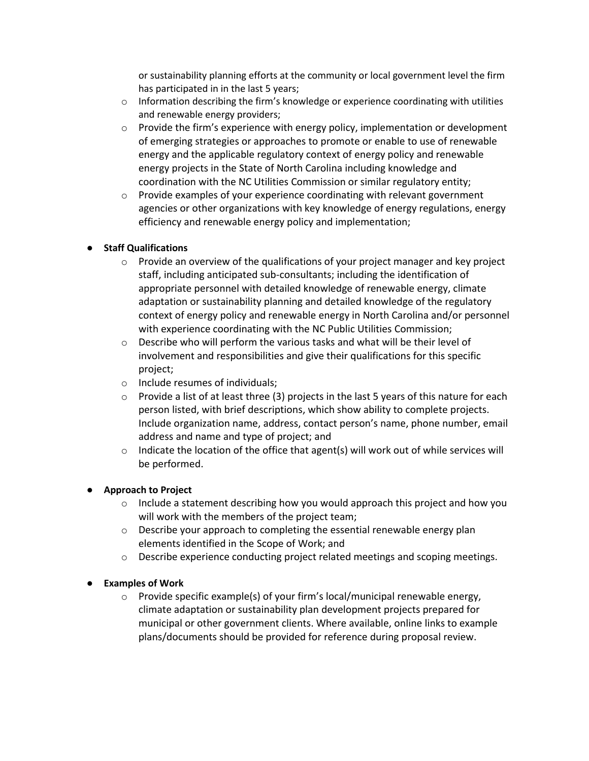or sustainability planning efforts at the community or local government level the firm has participated in in the last 5 years;

- $\circ$  Information describing the firm's knowledge or experience coordinating with utilities and renewable energy providers;
- $\circ$  Provide the firm's experience with energy policy, implementation or development of emerging strategies or approaches to promote or enable to use of renewable energy and the applicable regulatory context of energy policy and renewable energy projects in the State of North Carolina including knowledge and coordination with the NC Utilities Commission or similar regulatory entity;
- $\circ$  Provide examples of your experience coordinating with relevant government agencies or other organizations with key knowledge of energy regulations, energy efficiency and renewable energy policy and implementation;

# ● **Staff Qualifications**

- $\circ$  Provide an overview of the qualifications of your project manager and key project staff, including anticipated sub-consultants; including the identification of appropriate personnel with detailed knowledge of renewable energy, climate adaptation or sustainability planning and detailed knowledge of the regulatory context of energy policy and renewable energy in North Carolina and/or personnel with experience coordinating with the NC Public Utilities Commission;
- $\circ$  Describe who will perform the various tasks and what will be their level of involvement and responsibilities and give their qualifications for this specific project;
- o Include resumes of individuals;
- $\circ$  Provide a list of at least three (3) projects in the last 5 years of this nature for each person listed, with brief descriptions, which show ability to complete projects. Include organization name, address, contact person's name, phone number, email address and name and type of project; and
- $\circ$  Indicate the location of the office that agent(s) will work out of while services will be performed.

# ● **Approach to Project**

- $\circ$  Include a statement describing how you would approach this project and how you will work with the members of the project team;
- o Describe your approach to completing the essential renewable energy plan elements identified in the Scope of Work; and
- o Describe experience conducting project related meetings and scoping meetings.

# ● **Examples of Work**

o Provide specific example(s) of your firm's local/municipal renewable energy, climate adaptation or sustainability plan development projects prepared for municipal or other government clients. Where available, online links to example plans/documents should be provided for reference during proposal review.